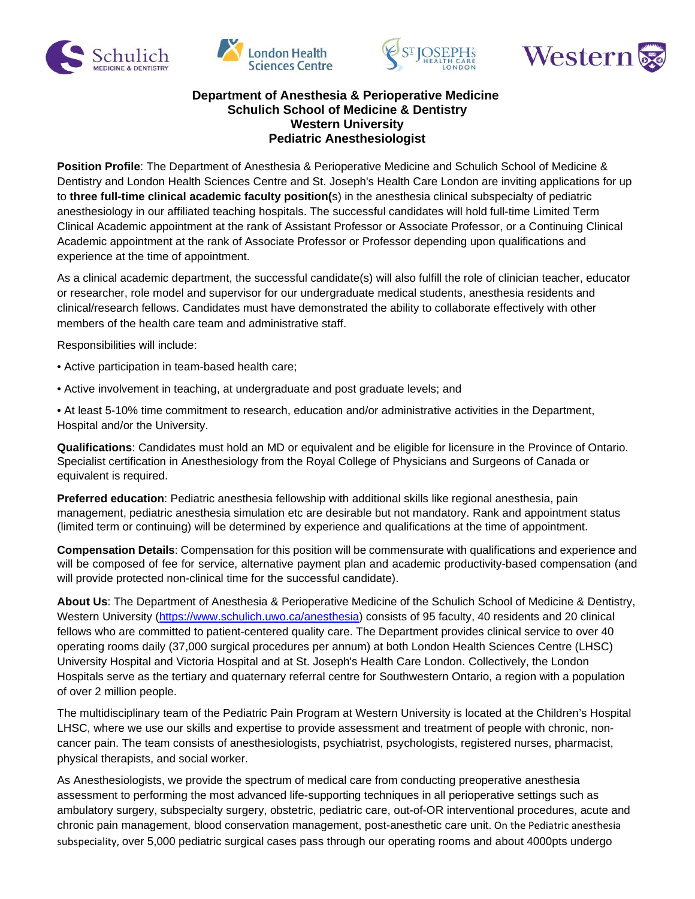







## **Department of Anesthesia & Perioperative Medicine Schulich School of Medicine & Dentistry Western University Pediatric Anesthesiologist**

**Position Profile**: The Department of Anesthesia & Perioperative Medicine and Schulich School of Medicine & Dentistry and London Health Sciences Centre and St. Joseph's Health Care London are inviting applications for up to **three full-time clinical academic faculty position(**s) in the anesthesia clinical subspecialty of pediatric anesthesiology in our affiliated teaching hospitals. The successful candidates will hold full-time Limited Term Clinical Academic appointment at the rank of Assistant Professor or Associate Professor, or a Continuing Clinical Academic appointment at the rank of Associate Professor or Professor depending upon qualifications and experience at the time of appointment.

As a clinical academic department, the successful candidate(s) will also fulfill the role of clinician teacher, educator or researcher, role model and supervisor for our undergraduate medical students, anesthesia residents and clinical/research fellows. Candidates must have demonstrated the ability to collaborate effectively with other members of the health care team and administrative staff.

Responsibilities will include:

- Active participation in team-based health care;
- Active involvement in teaching, at undergraduate and post graduate levels; and

• At least 5-10% time commitment to research, education and/or administrative activities in the Department, Hospital and/or the University.

**Qualifications**: Candidates must hold an MD or equivalent and be eligible for licensure in the Province of Ontario. Specialist certification in Anesthesiology from the Royal College of Physicians and Surgeons of Canada or equivalent is required.

**Preferred education**: Pediatric anesthesia fellowship with additional skills like regional anesthesia, pain management, pediatric anesthesia simulation etc are desirable but not mandatory. Rank and appointment status (limited term or continuing) will be determined by experience and qualifications at the time of appointment.

**Compensation Details**: Compensation for this position will be commensurate with qualifications and experience and will be composed of fee for service, alternative payment plan and academic productivity-based compensation (and will provide protected non-clinical time for the successful candidate).

**About Us**: The Department of Anesthesia & Perioperative Medicine of the Schulich School of Medicine & Dentistry, Western University [\(https://www.schulich.uwo.ca/a](https://www.schulich.uwo.ca/)nesthesia) consists of 95 faculty, 40 residents and 20 clinical fellows who are committed to patient-centered quality care. The Department provides clinical service to over 40 operating rooms daily (37,000 surgical procedures per annum) at both London Health Sciences Centre (LHSC) University Hospital and Victoria Hospital and at St. Joseph's Health Care London. Collectively, the London Hospitals serve as the tertiary and quaternary referral centre for Southwestern Ontario, a region with a population of over 2 million people.

The multidisciplinary team of the Pediatric Pain Program at Western University is located at the Children's Hospital LHSC, where we use our skills and expertise to provide assessment and treatment of people with chronic, noncancer pain. The team consists of anesthesiologists, psychiatrist, psychologists, registered nurses, pharmacist, physical therapists, and social worker.

As Anesthesiologists, we provide the spectrum of medical care from conducting preoperative anesthesia assessment to performing the most advanced life-supporting techniques in all perioperative settings such as ambulatory surgery, subspecialty surgery, obstetric, pediatric care, out-of-OR interventional procedures, acute and chronic pain management, blood conservation management, post-anesthetic care unit. On the Pediatric anesthesia subspeciality, over 5,000 pediatric surgical cases pass through our operating rooms and about 4000pts undergo